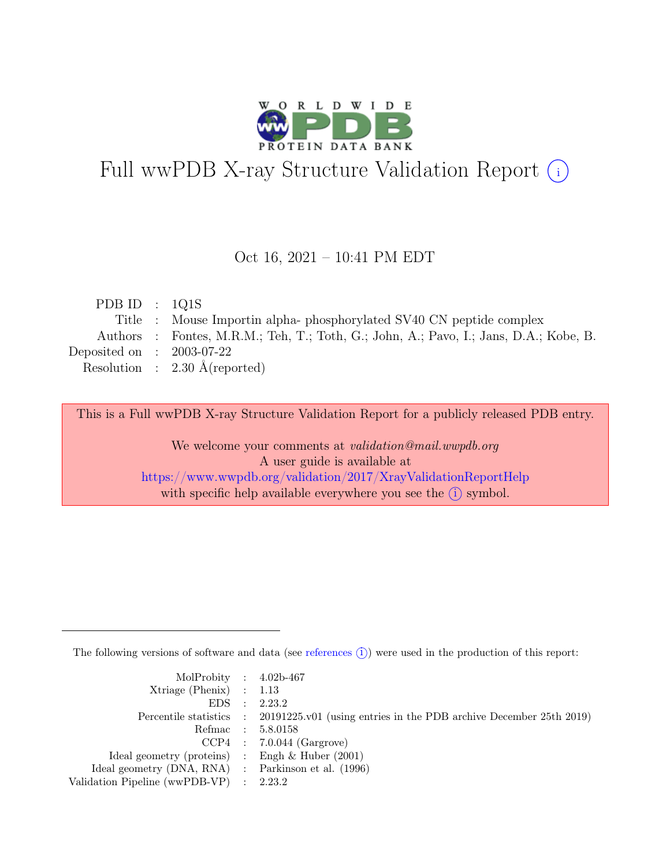

# Full wwPDB X-ray Structure Validation Report  $(i)$

#### Oct 16, 2021 – 10:41 PM EDT

| PDB ID : $1Q1S$             |                                                                                       |
|-----------------------------|---------------------------------------------------------------------------------------|
|                             | Title : Mouse Importin alpha-phosphorylated SV40 CN peptide complex                   |
|                             | Authors : Fontes, M.R.M.; Teh, T.; Toth, G.; John, A.; Pavo, I.; Jans, D.A.; Kobe, B. |
| Deposited on : $2003-07-22$ |                                                                                       |
|                             | Resolution : $2.30 \text{ Å}$ (reported)                                              |
|                             |                                                                                       |

This is a Full wwPDB X-ray Structure Validation Report for a publicly released PDB entry.

We welcome your comments at validation@mail.wwpdb.org A user guide is available at <https://www.wwpdb.org/validation/2017/XrayValidationReportHelp> with specific help available everywhere you see the  $(i)$  symbol.

The following versions of software and data (see [references](https://www.wwpdb.org/validation/2017/XrayValidationReportHelp#references)  $(i)$ ) were used in the production of this report:

| MolProbity : $4.02b-467$                            |                                                                                            |
|-----------------------------------------------------|--------------------------------------------------------------------------------------------|
| $Xtriangle (Phenix)$ : 1.13                         |                                                                                            |
|                                                     | EDS : 2.23.2                                                                               |
|                                                     | Percentile statistics : 20191225.v01 (using entries in the PDB archive December 25th 2019) |
|                                                     | Refmac : 5.8.0158                                                                          |
|                                                     | $CCP4$ : 7.0.044 (Gargrove)                                                                |
| Ideal geometry (proteins) : Engh $\&$ Huber (2001)  |                                                                                            |
| Ideal geometry (DNA, RNA) : Parkinson et al. (1996) |                                                                                            |
| Validation Pipeline (wwPDB-VP) : 2.23.2             |                                                                                            |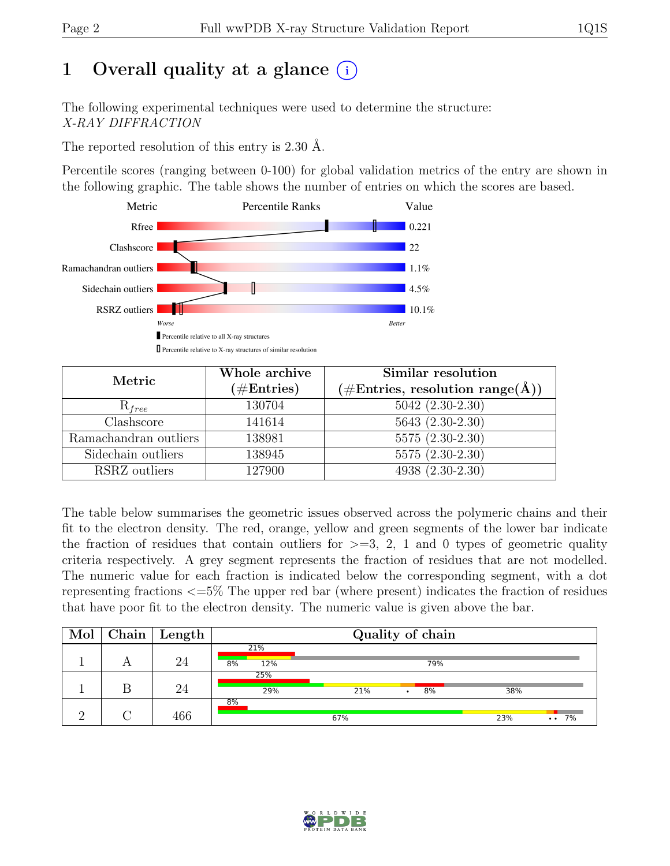# 1 Overall quality at a glance  $(i)$

The following experimental techniques were used to determine the structure: X-RAY DIFFRACTION

The reported resolution of this entry is 2.30 Å.

Percentile scores (ranging between 0-100) for global validation metrics of the entry are shown in the following graphic. The table shows the number of entries on which the scores are based.



| Metric                | Whole archive<br>$(\#\text{Entries})$ | Similar resolution<br>$(\# \text{Entries}, \text{ resolution range}(\text{Å}))$ |
|-----------------------|---------------------------------------|---------------------------------------------------------------------------------|
| $R_{free}$            | 130704                                | $5042 (2.30-2.30)$                                                              |
| Clashscore            | 141614                                | $5643(2.30-2.30)$                                                               |
| Ramachandran outliers | 138981                                | $5575(2.30-2.30)$                                                               |
| Sidechain outliers    | 138945                                | $5575(2.30-2.30)$                                                               |
| RSRZ outliers         | 127900                                | 4938 (2.30-2.30)                                                                |

The table below summarises the geometric issues observed across the polymeric chains and their fit to the electron density. The red, orange, yellow and green segments of the lower bar indicate the fraction of residues that contain outliers for  $\geq$ =3, 2, 1 and 0 types of geometric quality criteria respectively. A grey segment represents the fraction of residues that are not modelled. The numeric value for each fraction is indicated below the corresponding segment, with a dot representing fractions <=5% The upper red bar (where present) indicates the fraction of residues that have poor fit to the electron density. The numeric value is given above the bar.

| Mol | $\mid$ Chain $\mid$ Length |                  |     | Quality of chain |     |                       |
|-----|----------------------------|------------------|-----|------------------|-----|-----------------------|
|     | 24                         | 21%<br>8%<br>12% |     | 79%              |     |                       |
|     | 24                         | 25%<br>29%       | 21% | 8%               | 38% |                       |
|     | 466                        | 8%               | 67% |                  | 23% | 7%<br>$\cdot$ $\cdot$ |

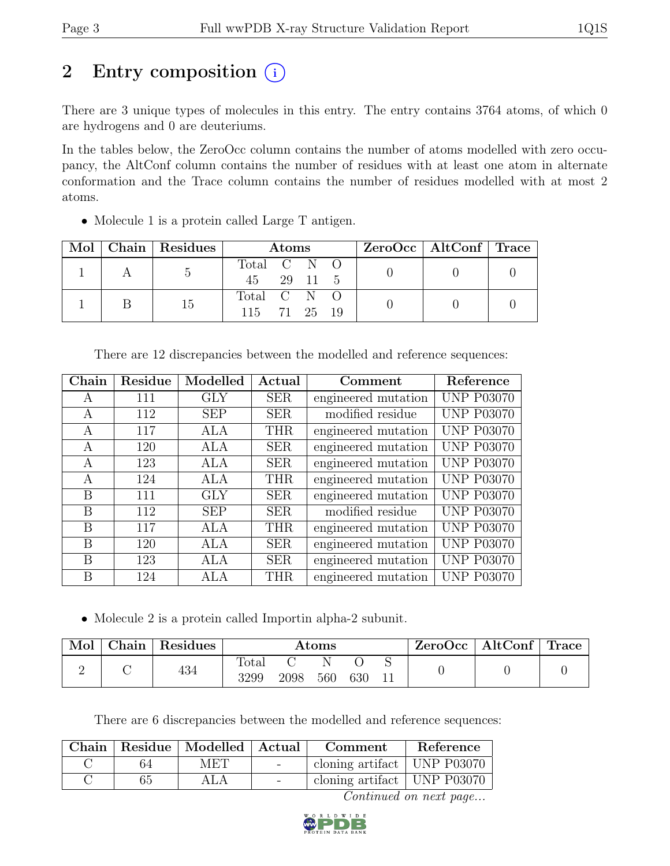## 2 Entry composition  $(i)$

There are 3 unique types of molecules in this entry. The entry contains 3764 atoms, of which 0 are hydrogens and 0 are deuteriums.

In the tables below, the ZeroOcc column contains the number of atoms modelled with zero occupancy, the AltConf column contains the number of residues with at least one atom in alternate conformation and the Trace column contains the number of residues modelled with at most 2 atoms.

| Mol |    | $\vert$ Chain $\vert$ Residues $\vert$ | Atoms       |  |  |  | $ZeroOcc \mid AltConf \mid Trace$ |  |
|-----|----|----------------------------------------|-------------|--|--|--|-----------------------------------|--|
|     |    |                                        | Total C N O |  |  |  |                                   |  |
|     |    | 45 29 11 5                             |             |  |  |  |                                   |  |
|     |    |                                        | Total C N O |  |  |  |                                   |  |
|     | 15 | 115 71 25 19                           |             |  |  |  |                                   |  |

• Molecule 1 is a protein called Large T antigen.

| There are 12 discrepancies between the modelled and reference sequences: |  |  |
|--------------------------------------------------------------------------|--|--|
|                                                                          |  |  |

| Chain | Residue | Modelled   | Actual     | Comment             | Reference         |
|-------|---------|------------|------------|---------------------|-------------------|
| A     | 111     | GLY        | <b>SER</b> | engineered mutation | <b>UNP P03070</b> |
| A     | 112     | <b>SEP</b> | <b>SER</b> | modified residue    | <b>UNP P03070</b> |
| A     | 117     | ALA        | <b>THR</b> | engineered mutation | <b>UNP P03070</b> |
| А     | 120     | ALA        | <b>SER</b> | engineered mutation | <b>UNP P03070</b> |
| А     | 123     | ALA        | <b>SER</b> | engineered mutation | <b>UNP P03070</b> |
| А     | 124     | <b>ALA</b> | <b>THR</b> | engineered mutation | <b>UNP P03070</b> |
| B     | 111     | GLY        | <b>SER</b> | engineered mutation | <b>UNP P03070</b> |
| B     | 112     | <b>SEP</b> | <b>SER</b> | modified residue    | <b>UNP P03070</b> |
| B     | 117     | ALA        | <b>THR</b> | engineered mutation | <b>UNP P03070</b> |
| B     | 120     | ALA        | <b>SER</b> | engineered mutation | <b>UNP P03070</b> |
| B     | 123     | <b>ALA</b> | <b>SER</b> | engineered mutation | <b>UNP P03070</b> |
| В     | 124     | ALA        | <b>THR</b> | engineered mutation | <b>UNP P03070</b> |

• Molecule 2 is a protein called Importin alpha-2 subunit.

| Mol | ${\rm Chain}$ | Residues | Atoms         |      |     | ZeroOcc | AltConf | $\degree$ Trace |  |  |
|-----|---------------|----------|---------------|------|-----|---------|---------|-----------------|--|--|
| ↵   |               | 434      | Total<br>3299 | 2098 | 560 | 630     |         |                 |  |  |

There are 6 discrepancies between the modelled and reference sequences:

|    | Chain   Residue   Modelled   Actual | <b>Comment</b>                | Reference |
|----|-------------------------------------|-------------------------------|-----------|
| 64 | MET                                 | cloning artifact UNP P03070   |           |
| 65 | ALA                                 | cloning artifact   UNP P03070 |           |

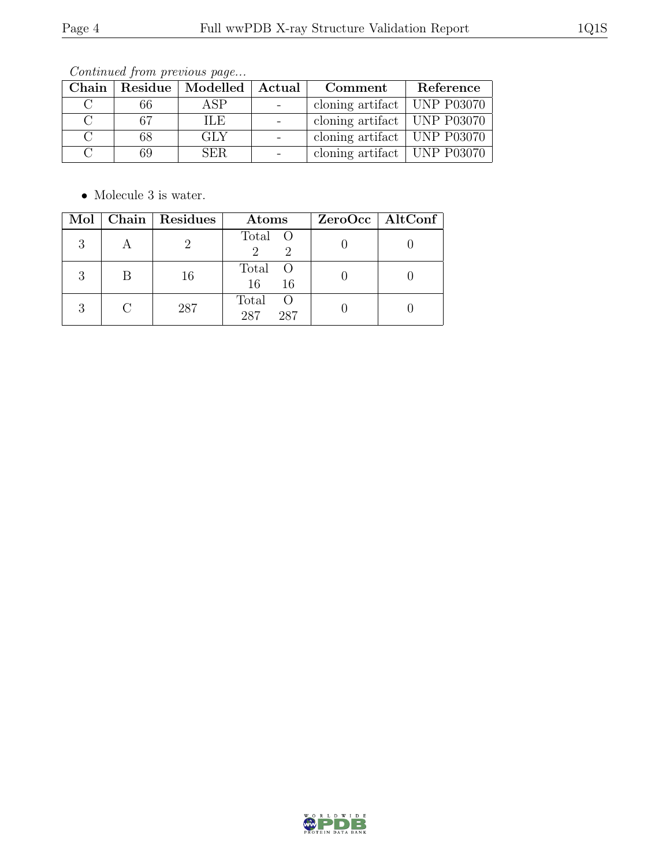Continued from previous page...

| ${\rm Chain}$ |     | Residue   Modelled   Actual | Comment                             | Reference |
|---------------|-----|-----------------------------|-------------------------------------|-----------|
|               | 66  | ASP                         | cloning artifact $\vert$ UNP P03070 |           |
|               | -67 | ILE.                        | cloning artifact   UNP $P03070$     |           |
|               | 68  | GLY                         | cloning artifact   UNP $P03070$     |           |
|               | 69  | SER.                        | cloning artifact $\vert$ UNP P03070 |           |

 $\bullet\,$  Molecule 3 is water.

|   |                | Mol   Chain   Residues | Atoms                               | ZeroOcc   AltConf |
|---|----------------|------------------------|-------------------------------------|-------------------|
|   | $\overline{A}$ |                        | Total O                             |                   |
| З | B              | 16                     | Total O<br>16<br>-16                |                   |
| R |                | 287                    | Total<br><sup>O</sup><br>287<br>287 |                   |

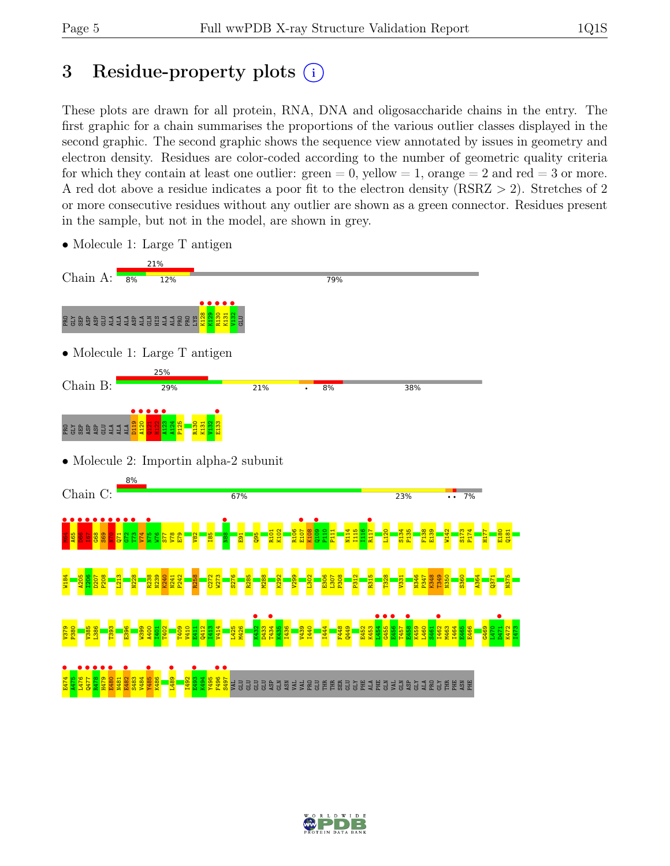## 3 Residue-property plots (i)

These plots are drawn for all protein, RNA, DNA and oligosaccharide chains in the entry. The first graphic for a chain summarises the proportions of the various outlier classes displayed in the second graphic. The second graphic shows the sequence view annotated by issues in geometry and electron density. Residues are color-coded according to the number of geometric quality criteria for which they contain at least one outlier:  $green = 0$ , yellow  $= 1$ , orange  $= 2$  and red  $= 3$  or more. A red dot above a residue indicates a poor fit to the electron density (RSRZ > 2). Stretches of 2 or more consecutive residues without any outlier are shown as a green connector. Residues present in the sample, but not in the model, are shown in grey.



• Molecule 1: Large T antigen

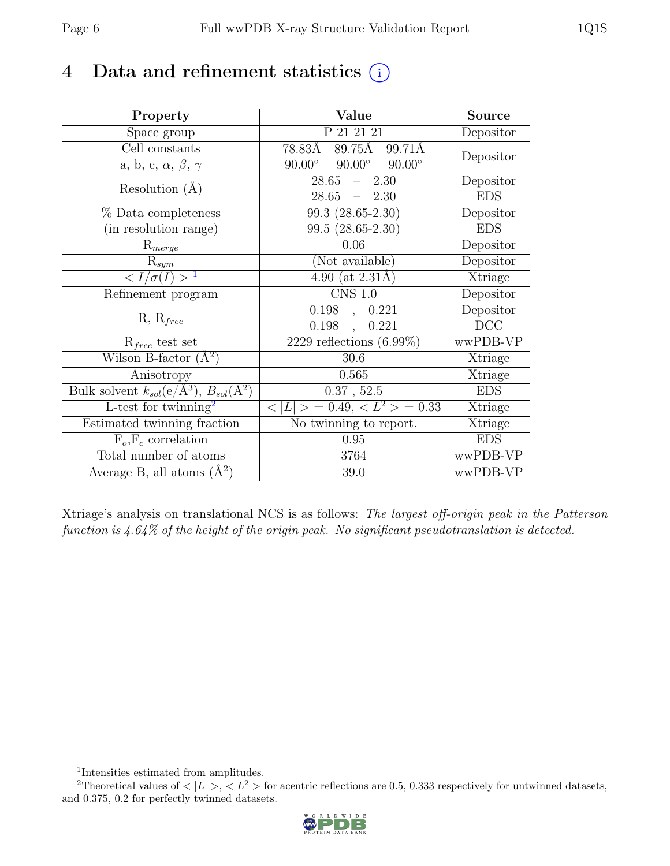## 4 Data and refinement statistics  $(i)$

| Property                                                         | Value                                           | Source     |
|------------------------------------------------------------------|-------------------------------------------------|------------|
| Space group                                                      | P 21 21 21                                      | Depositor  |
| Cell constants                                                   | 89.75Å<br>78.83Å<br>99.71Å                      | Depositor  |
| a, b, c, $\alpha$ , $\beta$ , $\gamma$                           | $90.00^\circ$<br>$90.00^\circ$<br>$90.00^\circ$ |            |
| Resolution $(A)$                                                 | 28.65<br>2.30<br>$\equiv$ .                     | Depositor  |
|                                                                  | $28.65 - 2.30$                                  | <b>EDS</b> |
| % Data completeness                                              | $99.3(28.65-2.30)$                              | Depositor  |
| (in resolution range)                                            | $99.5(28.65-2.30)$                              | <b>EDS</b> |
| $\mathrm{R}_{merge}$                                             | 0.06                                            | Depositor  |
| $\mathrm{R}_{sym}$                                               | (Not available)                                 | Depositor  |
| $\langle I/\sigma(I) \rangle$ <sup>1</sup>                       | $4.90$ (at 2.31Å)                               | Xtriage    |
| Refinement program                                               | $\overline{\text{CNS} 1.0}$                     | Depositor  |
| $R, R_{free}$                                                    | $\overline{0.198}$ ,<br>0.221                   | Depositor  |
|                                                                  | 0.198,<br>0.221                                 | DCC        |
| $R_{free}$ test set                                              | $\overline{2229}$ reflections $(6.99\%)$        | wwPDB-VP   |
| Wilson B-factor $(A^2)$                                          | 30.6                                            | Xtriage    |
| Anisotropy                                                       | 0.565                                           | Xtriage    |
| Bulk solvent $k_{sol}(\text{e}/\text{A}^3), B_{sol}(\text{A}^2)$ | $0.37$ , $52.5$                                 | <b>EDS</b> |
| L-test for twinning <sup>2</sup>                                 | $< L >$ = 0.49, $< L^2 >$ = 0.33                | Xtriage    |
| Estimated twinning fraction                                      | No twinning to report.                          | Xtriage    |
| $F_o, F_c$ correlation                                           | 0.95                                            | <b>EDS</b> |
| Total number of atoms                                            | 3764                                            | wwPDB-VP   |
| Average B, all atoms $(A^2)$                                     | 39.0                                            | wwPDB-VP   |

Xtriage's analysis on translational NCS is as follows: The largest off-origin peak in the Patterson function is 4.64% of the height of the origin peak. No significant pseudotranslation is detected.

<sup>&</sup>lt;sup>2</sup>Theoretical values of  $\langle |L| \rangle$ ,  $\langle L^2 \rangle$  for acentric reflections are 0.5, 0.333 respectively for untwinned datasets, and 0.375, 0.2 for perfectly twinned datasets.



<span id="page-5-1"></span><span id="page-5-0"></span><sup>1</sup> Intensities estimated from amplitudes.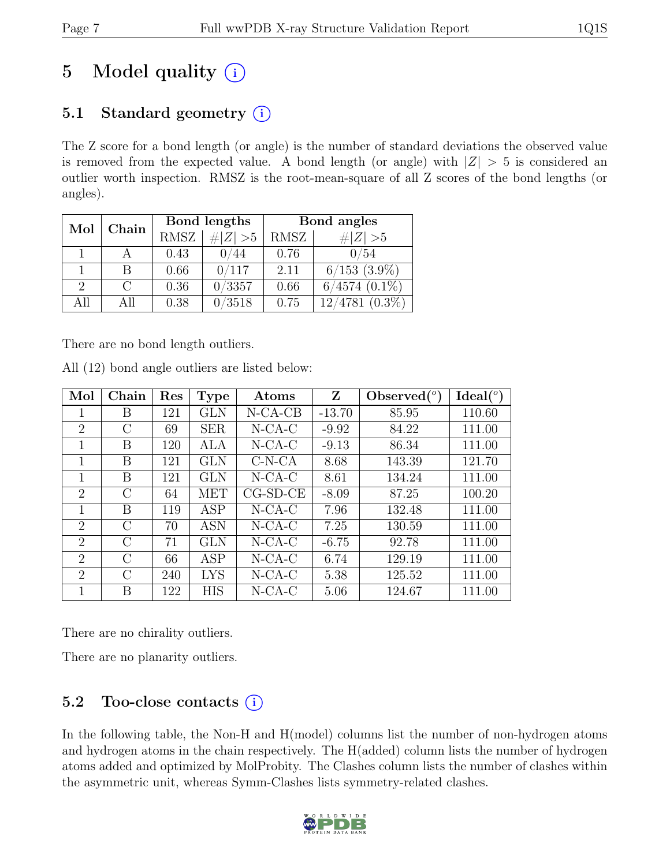# 5 Model quality  $(i)$

## 5.1 Standard geometry  $(i)$

The Z score for a bond length (or angle) is the number of standard deviations the observed value is removed from the expected value. A bond length (or angle) with  $|Z| > 5$  is considered an outlier worth inspection. RMSZ is the root-mean-square of all Z scores of the bond lengths (or angles).

| Chain<br>Mol |     | Bond lengths |             | Bond angles |                     |  |
|--------------|-----|--------------|-------------|-------------|---------------------|--|
|              |     | <b>RMSZ</b>  | $\# Z  > 5$ | RMSZ        | $\# Z  > 5$         |  |
|              |     | 0.43         | 0/44        | 0.76        | 0/54                |  |
|              |     | 0.66         | 0/117       | 2.11        | $6/153$ $(3.9\%)$   |  |
| 2            |     | 0.36         | 0/3357      | 0.66        | $6/4574$ $(0.1\%)$  |  |
| A 11         | All | 0.38         | 0/3518      | 0.75        | $12/4781$ $(0.3\%)$ |  |

There are no bond length outliers.

| All (12) bond angle outliers are listed below: |
|------------------------------------------------|
|------------------------------------------------|

| Mol            | Chain   | Res | <b>Type</b> | Atoms      | Z        | Observed $(°)$ | $Ideal(^o)$ |
|----------------|---------|-----|-------------|------------|----------|----------------|-------------|
| 1              | B       | 121 | GLN         | $N-CA-CB$  | $-13.70$ | 85.95          | 110.60      |
| $\overline{2}$ | С       | 69  | <b>SER</b>  | $N$ -CA-C  | $-9.92$  | 84.22          | 111.00      |
| 1              | B       | 120 | ALA         | $N$ -CA-C  | $-9.13$  | 86.34          | 111.00      |
| 1              | B       | 121 | <b>GLN</b>  | $C-N-CA$   | 8.68     | 143.39         | 121.70      |
| $\mathbf 1$    | B       | 121 | <b>GLN</b>  | $N$ -CA-C  | 8.61     | 134.24         | 111.00      |
| $\overline{2}$ | $\rm C$ | 64  | <b>MET</b>  | $CG-SD-CE$ | $-8.09$  | 87.25          | 100.20      |
| $\mathbf 1$    | B       | 119 | <b>ASP</b>  | $N$ -CA-C  | 7.96     | 132.48         | 111.00      |
| $\overline{2}$ | $\rm C$ | 70  | <b>ASN</b>  | $N$ -CA-C  | 7.25     | 130.59         | 111.00      |
| $\overline{2}$ | $\rm C$ | 71  | GLN         | $N$ -CA-C  | $-6.75$  | 92.78          | 111.00      |
| $\overline{2}$ | $\rm C$ | 66  | <b>ASP</b>  | $N$ -CA-C  | 6.74     | 129.19         | 111.00      |
| $\mathfrak{D}$ | $\rm C$ | 240 | <b>LYS</b>  | $N$ -CA-C  | 5.38     | 125.52         | 111.00      |
| 1              | В       | 122 | <b>HIS</b>  | $N-CA-C$   | 5.06     | 124.67         | 111.00      |

There are no chirality outliers.

There are no planarity outliers.

## 5.2 Too-close contacts  $(i)$

In the following table, the Non-H and H(model) columns list the number of non-hydrogen atoms and hydrogen atoms in the chain respectively. The H(added) column lists the number of hydrogen atoms added and optimized by MolProbity. The Clashes column lists the number of clashes within the asymmetric unit, whereas Symm-Clashes lists symmetry-related clashes.

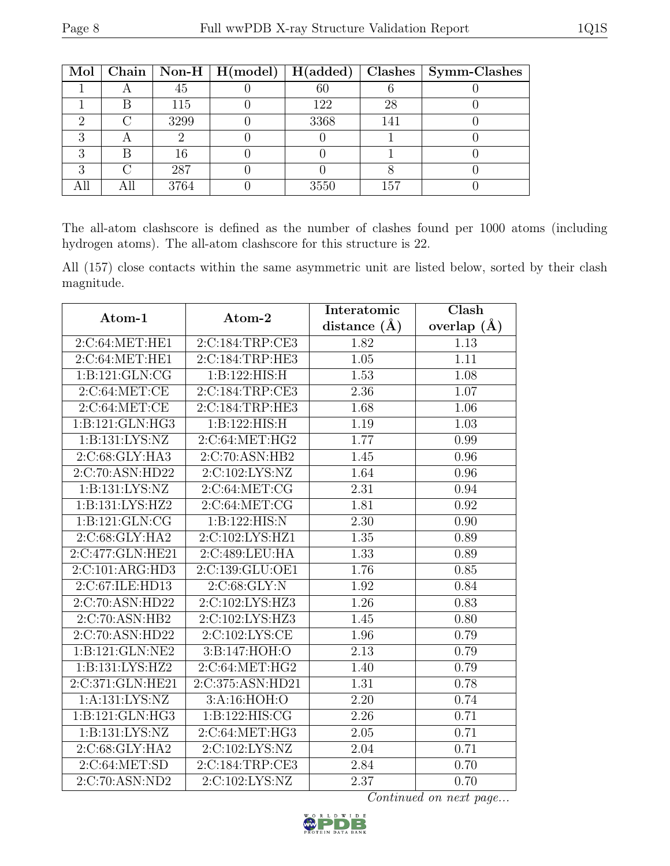|  |      |      |     | Mol   Chain   Non-H   H(model)   H(added)   Clashes   Symm-Clashes |
|--|------|------|-----|--------------------------------------------------------------------|
|  | 45   | 60   |     |                                                                    |
|  | 115  | 122  | 28  |                                                                    |
|  | 3299 | 3368 | 141 |                                                                    |
|  |      |      |     |                                                                    |
|  | 16   |      |     |                                                                    |
|  | 287  |      |     |                                                                    |
|  | 3764 | 3550 | 157 |                                                                    |

The all-atom clashscore is defined as the number of clashes found per 1000 atoms (including hydrogen atoms). The all-atom clashscore for this structure is 22.

All (157) close contacts within the same asymmetric unit are listed below, sorted by their clash magnitude.

|                                 |                             | Interatomic      | Clash           |  |
|---------------------------------|-----------------------------|------------------|-----------------|--|
| Atom-1                          | Atom-2                      | distance $(\AA)$ | overlap $(\AA)$ |  |
| 2:C:64:MET:HE1                  | 2:C:184:TRP:CE3             | 1.82             | 1.13            |  |
| 2:C:64:MET:HE1                  | 2:C:184:TRP:HE3             | 1.05             | 1.11            |  |
| $1: B: 121: GLN: \overline{CG}$ | 1:B:122:HIS:H               | 1.53             | 1.08            |  |
| 2:C:64:MET:CE                   | 2:C:184:TRP:CE3             | 2.36             | 1.07            |  |
| 2:C:64:MET:CE                   | 2:C:184:TRP:HE3             | 1.68             | 1.06            |  |
| 1:B:121:GLN:HG3                 | 1:B:122:HIS:H               | 1.19             | 1.03            |  |
| 1:B:131:LYS:NZ                  | 2:C:64:MET:HG2              | 1.77             | 0.99            |  |
| 2:C:68:GLY:HA3                  | 2:C:70:ASN:HB2              | 1.45             | 0.96            |  |
| 2:C:70:ASN:HD22                 | 2:C:102:LYS:NZ              | 1.64             | 0.96            |  |
| 1:B:131:LYS:NZ                  | 2:C:64:MET:CG               | 2.31             | 0.94            |  |
| 1: B: 131: LYS: HZ2             | 2:C:64:MET:CG               | 1.81             | 0.92            |  |
| 1:B:121:GLN:CG                  | 1:B:122:HIS:N               | 2.30             | 0.90            |  |
| 2:C:68:GLY:HA2                  | 2:C:102:LYS:HZ1             | 1.35             | 0.89            |  |
| 2:C:477:GLN:HE21                | 2:C:489:LEU:HA              | 1.33             | 0.89            |  |
| 2:C:101:ARG:HD3                 | 2:C:139:GLU:OE1             | 1.76             | 0.85            |  |
| 2:C:67:ILE:HD13                 | 2:C:68:GLY:N                | 1.92             | 0.84            |  |
| 2:C:70:ASN:HD22                 | 2:C:102:LYS:HZ3             | 1.26             | 0.83            |  |
| 2:C:70:ASN:HB2                  | 2:C:102:LYS:HZ3             | 1.45             | 0.80            |  |
| 2:C:70:ASN:HD22                 | 2:C:102:LYS:CE              | 1.96             | 0.79            |  |
| 1:B:121:GLN:NE2                 | 3:B:147:HOH:O               | 2.13             | 0.79            |  |
| 1: B: 131: LYS: HZ2             | 2:C:64:MET:HG2              | 1.40             | 0.79            |  |
| 2:C:371:GLN:HE21                | 2:C:375:ASN:HD21            | 1.31             | 0.78            |  |
| 1: A: 131: LYS: NZ              | 3:A:16:HOH:O                | 2.20             | 0.74            |  |
| 1:B:121:GLN:HG3                 | 1:B:122:HIS:CG              | 2.26             | 0.71            |  |
| 1:B:131:LYS:NZ                  | 2:C:64:MET:HG3              | 2.05             | 0.71            |  |
| 2:C:68:GLY:HA2                  | 2:C:102:LYS:NZ              | 2.04             | 0.71            |  |
| 2:C:64:MET:SD                   | 2:C:184:TRP:CE3             | 2.84             | 0.70            |  |
| $2:\overline{C:70:ASN:ND2}$     | $2:\overline{C:102:LYS:NZ}$ | 2.37             | 0.70            |  |

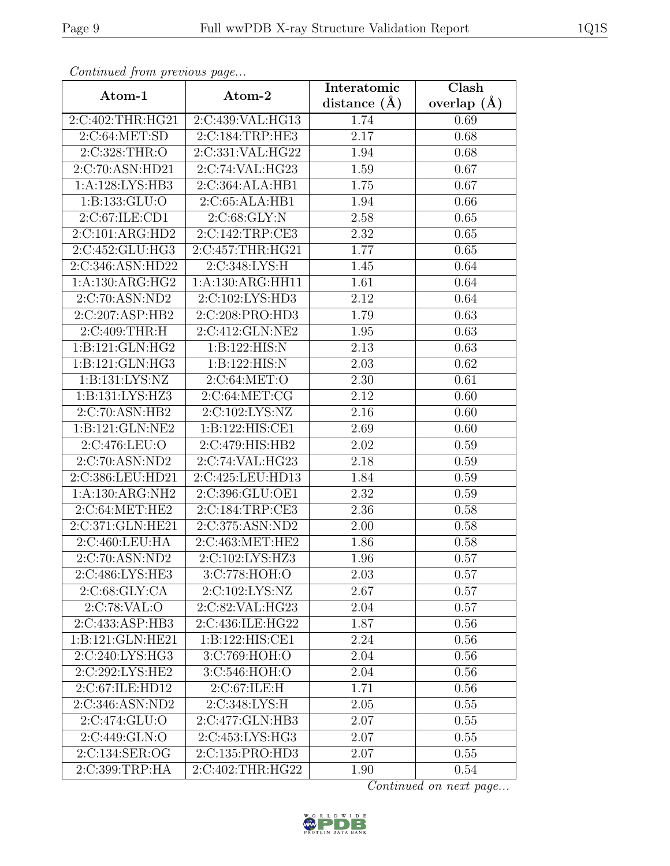| Continuea from previous page  |                              | Interatomic       | Clash         |  |
|-------------------------------|------------------------------|-------------------|---------------|--|
| Atom-1                        | Atom-2                       | distance $(A)$    | overlap $(A)$ |  |
| 2:C:402:THR:HG21              | 2:C:439:VAL:HG13             | 1.74              | 0.69          |  |
| 2:C:64:MET:SD                 | 2:C:184:TRP:HE3              | $\overline{2.17}$ | 0.68          |  |
| 2:C:328:THR:O                 | 2:C:331:VAL:HG22             | 1.94              | 0.68          |  |
| 2:C:70:ASN:HD21               | 2:C:74:VAL:HG23              | 1.59              | 0.67          |  |
| 1:A:128:LYS:HB3               | 2:C:364:ALA:HB1              | 1.75              | 0.67          |  |
| 1:B:133:GLU:O                 | 2:C:65:ALA:HB1               | 1.94              | 0.66          |  |
| 2:C:67:ILE:CD1                | 2:C:68:GLY:N                 | 2.58              | 0.65          |  |
| 2:C:101:ARG:HD2               | 2:C:142:TRP:CE3              | 2.32              | 0.65          |  |
| 2:C:452:GLU:HG3               | 2:C:457:THR:HG21             | 1.77              | 0.65          |  |
| $2:C:346:A\overline{SN:HD22}$ | 2:C:348:LYS:H                | 1.45              | 0.64          |  |
| $1:A:130:ARG:H\overline{G2}$  | 1:A:130:ARG:HH11             | 1.61              | 0.64          |  |
| 2:C:70:ASN:ND2                | 2:C:102:LYS:HD3              | 2.12              | 0.64          |  |
| 2:C:207:ASP:HB2               | 2:C:208:PRO:HD3              | 1.79              | 0.63          |  |
| 2:C:409:THR:H                 | $2:C:412:\overline{GLN:NE2}$ | 1.95              | 0.63          |  |
| 1:B:121:GLN:HG2               | 1:B:122:HIS:N                | 2.13              | 0.63          |  |
| 1:B:121:GLN:HG3               | 1:B:122:HIS:N                | 2.03              | 0.62          |  |
| 1: B: 131: LYS: NZ            | 2:C:64:MET:O                 | 2.30              | 0.61          |  |
| 1: B: 131: LYS: HZ3           | 2:C:64:MET:CG                | 2.12              | 0.60          |  |
| 2:C:70:ASN:HB2                | 2:C:102:LYS:NZ               | $\overline{2.16}$ | 0.60          |  |
| 1:B:121:GLN:NE2               | 1:B:122:HIS:CE1              | 2.69              | 0.60          |  |
| 2:C:476:LEU:O                 | 2:C:479:HIS:HB2              | 2.02              | 0.59          |  |
| 2:C:70:ASN:ND2                | 2:C:74:VAL:HG23              | 2.18              | 0.59          |  |
| 2:C:386:LEU:HD21              | 2:C:425:LEU:HD13             | 1.84              | 0.59          |  |
| 1:A:130:ARG:NH2               | 2:C:396:GLU:OE1              | 2.32              | 0.59          |  |
| 2:C:64:MET:HE2                | 2:C:184:TRP:CE3              | 2.36              | 0.58          |  |
| 2:C:371:GLN:HE21              | 2:C:375:ASN:ND2              | 2.00              | 0.58          |  |
| 2:C:460:LEU:HA                | 2:C:463:MET:HE2              | 1.86              | 0.58          |  |
| 2:C:70:ASN:ND2                | 2:C:102:LYS:HZ3              | 1.96              | 0.57          |  |
| 2:C:486:LYS:HE3               | 3:C:778:HOH:O                | 2.03              | 0.57          |  |
| 2:C:68:GLY:CA                 | 2:C:102:LYS:NZ               | 2.67              | 0.57          |  |
| 2:C:78:VAL:O                  | 2:C:82:VAL:HG23              | 2.04              | 0.57          |  |
| 2:C:433:ASP:HB3               | 2:C:436:ILE:HG22             | 1.87              | 0.56          |  |
| 1:B:121:GLN:HE21              | 1:B:122:HIS:CE1              | 2.24              | 0.56          |  |
| 2:C:240:LYS:HG3               | 3:C:769:HOH:O                | 2.04              | 0.56          |  |
| 2:C:292:LYS:HE2               | 3:C:546:HOH:O                | 2.04              | 0.56          |  |
| 2:C:67:ILE:HD12               | 2:C:67:ILE:H                 | 1.71              | 0.56          |  |
| 2:C:346:ASN:ND2               | 2:C:348:LYS:H                | 2.05              | 0.55          |  |
| 2:C:474:GLU:O                 | 2:C:477:GLN:HB3              | 2.07              | 0.55          |  |
| 2:C:449:GLN:O                 | 2:C:453:LYS:HG3              | 2.07              | 0.55          |  |
| 2:C:134:SER:OG                | 2:C:135:PRO:HD3              | 2.07              | 0.55          |  |
| 2:C:399:TRP:HA                | 2:C:402:THR:HG22             | 1.90              | 0.54          |  |

Continued from previous page.

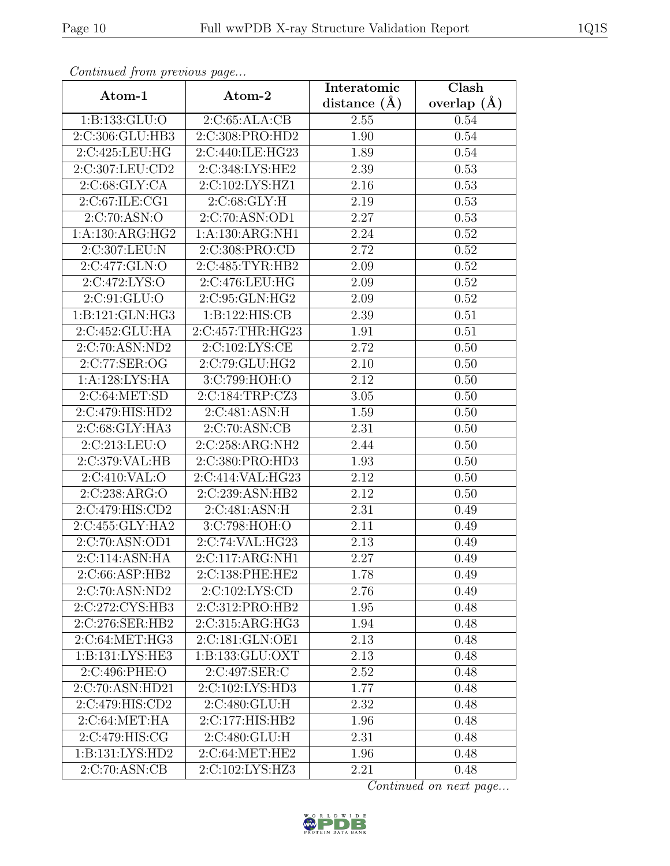| Continueu from pretious page |                             | Interatomic    | $\overline{\text{Clash}}$ |  |
|------------------------------|-----------------------------|----------------|---------------------------|--|
| Atom-1                       | Atom-2                      | distance $(A)$ | overlap $(A)$             |  |
| 1:B:133:GLU:O                | 2:C:65:ALA:CB               | 2.55           | 0.54                      |  |
| 2:C:306:GLU:HB3              | 2:C:308:PRO:HD2             | 1.90           | 0.54                      |  |
| 2:C:425:LEU:HG               | 2:C:440:ILE:HG23            | 1.89           | 0.54                      |  |
| 2:C:307:LEU:CD2              | 2:C:348:LYS:HE2             | 2.39           | 0.53                      |  |
| 2:C:68:GLY:CA                | 2:C:102:LYS:HZ1             | 2.16           | 0.53                      |  |
| 2:C:67:ILE:CG1               | 2:C:68:GLY:H                | 2.19           | 0.53                      |  |
| 2:C:70:ASN:O                 | 2:C:70:ASN:OD1              | 2.27           | 0.53                      |  |
| 1:A:130:ARG:HG2              | 1: A: 130: ARG: NH1         | 2.24           | 0.52                      |  |
| 2:C:307:LEU:N                | 2:C:308:PRO:CD              | 2.72           | 0.52                      |  |
| 2:C:477:GLN:O                | 2:C:485:TYR:HB2             | 2.09           | 0.52                      |  |
| 2:C:472:LYS:O                | 2:C:476:LEU:HG              | 2.09           | 0.52                      |  |
| 2:C:91:GLU:O                 | $2:C:\overline{95:GLN:HG2}$ | 2.09           | 0.52                      |  |
| 1:B:121:GLN:HG3              | 1:B:122:HIS:CB              | 2.39           | 0.51                      |  |
| 2:C:452:GLU:HA               | 2:C:457:THR:HG23            | 1.91           | 0.51                      |  |
| 2:C:70:ASN:ND2               | 2:C:102:LYS:CE              | 2.72           | 0.50                      |  |
| 2:C:77:SER:OG                | 2:C:79:GLU:HG2              | 2.10           | 0.50                      |  |
| 1:A:128:LYS:HA               | 3:C:799:HOH:O               | 2.12           | 0.50                      |  |
| 2:C:64:MET:SD                | 2:C:184:TRP:CZ3             | 3.05           | 0.50                      |  |
| 2:C:479:HIS:HD2              | 2:C:481:ASN:H               | 1.59           | 0.50                      |  |
| 2:C:68:GLY:HA3               | 2:C:70:ASN:CB               | 2.31           | 0.50                      |  |
| 2:C:213:LEU:O                | 2:C:258:ARG:NH2             | 2.44           | 0.50                      |  |
| 2:C:379:VAL:HB               | 2:C:380:PRO:HD3             | 1.93           | 0.50                      |  |
| 2:C:410:VAL:O                | 2:C:414:VAL:HG23            | 2.12           | 0.50                      |  |
| 2:C:238:ARG:O                | 2:C:239:ASN:HB2             | 2.12           | 0.50                      |  |
| 2:C:479:HIS:CD2              | 2:C:481:ASN:H               | 2.31           | 0.49                      |  |
| 2:C:455:GLY:HA2              | $3:$ C:798:HOH:O            | 2.11           | 0.49                      |  |
| 2:C:70:ASN:OD1               | 2:C:74:VAL:HG23             | 2.13           | 0.49                      |  |
| 2:C:114:ASN:HA               | 2:C:117:ARG:NH1             | 2.27           | 0.49                      |  |
| 2:C:66:ASP:HB2               | 2:C:138:PHE:HE2             | 1.78           | 0.49                      |  |
| 2:C:70:ASN:ND2               | 2:C:102:LYS:CD              | 2.76           | 0.49                      |  |
| 2:C:272:CYS:HB3              | 2:C:312:PRO:HB2             | 1.95           | 0.48                      |  |
| 2:C:276:SER:HB2              | 2:C:315:ARG:HG3             | 1.94           | 0.48                      |  |
| 2:C:64:MET:HG3               | 2:C:181:GLN:OE1             | 2.13           | 0.48                      |  |
| 1:B:131:LYS:HE3              | 1:B:133:GLU:OXT             | 2.13           | 0.48                      |  |
| 2:C:496:PHE:O                | 2:C:497:SER:C               | 2.52           | 0.48                      |  |
| 2:C:70:ASN:HD21              | 2:C:102:LYS:HD3             | 1.77           | 0.48                      |  |
| 2:C:479:HIS:CD2              | 2:C:480:GLU:H               | 2.32           | 0.48                      |  |
| 2:C:64:MET:HA                | 2:C:177:HIS:HB2             | 1.96           | 0.48                      |  |
| 2:C:479:HIS:CG               | 2:C:480:GLU:H               | 2.31           | 0.48                      |  |
| 1: B: 131: LYS: HD2          | 2:C:64:MET:HE2              | 1.96           | 0.48                      |  |
| 2:C:70:ASN:CB                | 2:C:102:LYS:HZ3             | 2.21           | 0.48                      |  |

Continued from previous page.

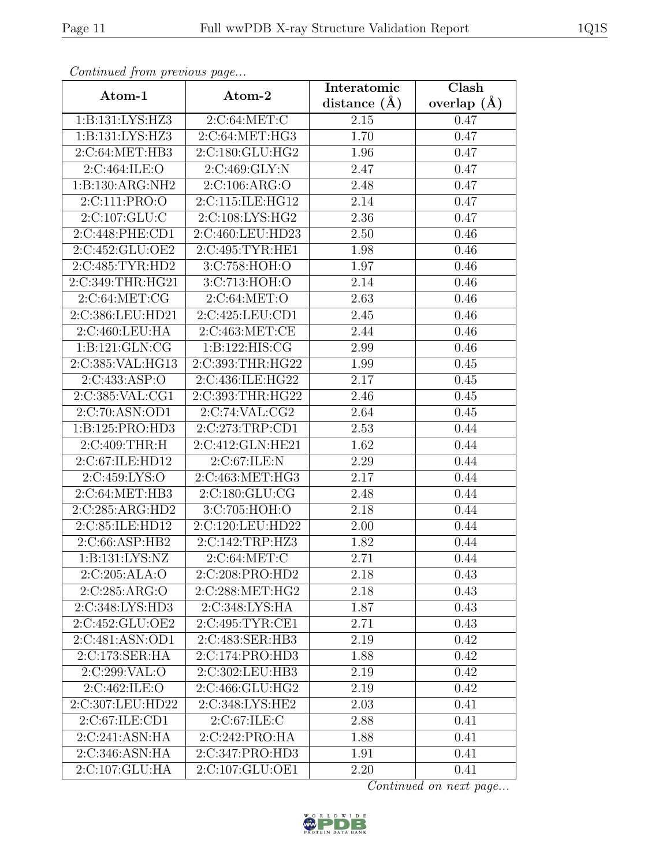| Convenaca from previous page       |                  | Interatomic       | Clash           |
|------------------------------------|------------------|-------------------|-----------------|
| Atom-1                             | Atom-2           | distance $(A)$    | overlap $(\AA)$ |
| 1: B: 131: LYS: HZ3                | 2:C:64:MET:C     | 2.15              | 0.47            |
| 1: B: 131: LYS: HZ3                | 2:C:64:MET:HG3   | 1.70              | 0.47            |
| 2:C:64:MET:HB3                     | 2:C:180:GLU:HG2  | 1.96              | 0.47            |
| 2:C:464:ILE:O                      | 2:C:469:GLY:N    | 2.47              | 0.47            |
| 1:B:130:ARG:NH2                    | 2:C:106:ARG:O    | 2.48              | 0.47            |
| 2:C:111:PRO:O                      | 2:C:115:ILE:HG12 | 2.14              | 0.47            |
| 2:C:107:GLU:C                      | 2:C:108:LYS:HG2  | $\overline{2.36}$ | 0.47            |
| 2:C:448:PHE:CD1                    | 2:C:460:LEU:HD23 | 2.50              | 0.46            |
| 2:C:452:GLU:OE2                    | 2:C:495:TYR:HE1  | 1.98              | 0.46            |
| 2:C:485:TYR:HD2                    | 3:C:758:HOH:O    | 1.97              | 0.46            |
| 2:C:349:THR:HG21                   | 3:C:713:HOH:O    | 2.14              | 0.46            |
| 2:C:64:MET:CG                      | 2:C:64:MET:O     | 2.63              | 0.46            |
| 2:C:386:LEU:HD21                   | 2:C:425:LEU:CD1  | 2.45              | 0.46            |
| 2:C:460:LEU:HA                     | 2:C:463:MET:CE   | 2.44              | 0.46            |
| 1:B:121:GLN:CG                     | 1:B:122:HIS:CG   | 2.99              | 0.46            |
| 2:C:385:VAL:HG13                   | 2:C:393:THR:HG22 | 1.99              | 0.45            |
| 2:C:433:ASP:O                      | 2:C:436:ILE:HG22 | 2.17              | 0.45            |
| 2:C:385:VAL:CG1                    | 2:C:393:THR:HG22 | 2.46              | 0.45            |
| 2:C:70:ASN:OD1                     | 2:C:74:VAL:CG2   | 2.64              | 0.45            |
| 1:B:125:PRO:HD3                    | 2:C:273:TRP:CD1  | 2.53              | 0.44            |
| 2:C:409:THR:H                      | 2:C:412:GLN:HE21 | 1.62              | 0.44            |
| 2:C:67:ILE:HD12                    | 2:C:67:ILE:N     | 2.29              | 0.44            |
| 2:C:459:LYS:O                      | 2:C:463:MET:HG3  | 2.17              | 0.44            |
| 2:C:64:MET:HB3                     | 2:C:180:GLU:CG   | 2.48              | 0.44            |
| 2:C:285:ARG:HD2                    | 3:C:705:HOH:O    | 2.18              | 0.44            |
| 2:C:85:ILE:HD12                    | 2:C:120:LEU:HD22 | $\overline{2.00}$ | 0.44            |
| 2:C:66:ASP:HB2                     | 2:C:142:TRP:HZ3  | 1.82              | 0.44            |
| $1:B:131:\overline{\text{LYS:NZ}}$ | 2:C:64:MET:C     | 2.71              | 0.44            |
| 2:C:205:ALA:O                      | 2:C:208:PRO:HD2  | 2.18              | 0.43            |
| 2:C:285:ARG:O                      | 2:C:288:MET:HG2  | 2.18              | 0.43            |
| 2:C:348:LYS:HD3                    | 2:C:348:LYS:HA   | 1.87              | 0.43            |
| 2:C:452:GLU:OE2                    | 2:C:495:TYR:CE1  | 2.71              | 0.43            |
| $2:C:481:AS\overline{N:OD1}$       | 2:C:483:SER:HB3  | 2.19              | 0.42            |
| 2:C:173:SER:HA                     | 2:C:174:PRO:HD3  | 1.88              | 0.42            |
| 2:C:299:VAL:O                      | 2:C:302:LEU:HB3  | 2.19              | 0.42            |
| 2:C:462:ILE:O                      | 2:C:466:GLU:HG2  | 2.19              | 0.42            |
| 2:C:307:LEU:HD22                   | 2:C:348:LYS:HE2  | 2.03              | 0.41            |
| 2:C:67:ILE:CD1                     | 2:C:67:ILE:C     | 2.88              | 0.41            |
| 2:C:241:ASN:HA                     | 2:C:242:PRO:HA   | 1.88              | 0.41            |
| 2:C:346:ASN:HA                     | 2:C:347:PRO:HD3  | 1.91              | 0.41            |
| 2:C:107:GLU:HA                     | 2:C:107:GLU:OE1  | 2.20              | 0.41            |

Continued from previous page.

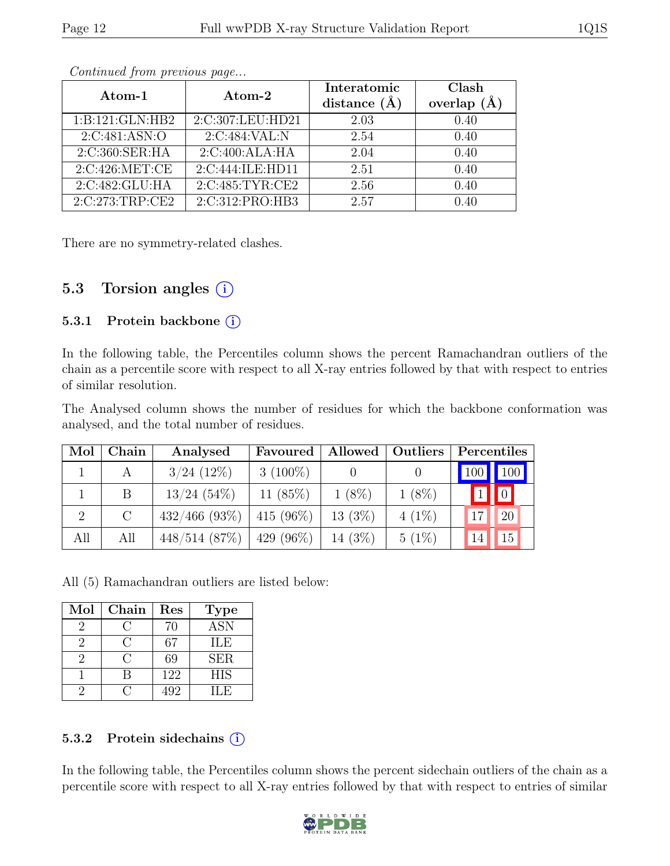| Atom-1          | $\rm{Atom}\text{-}2$ | Interatomic    | Clash              |
|-----------------|----------------------|----------------|--------------------|
|                 |                      | distance $(A)$ | $(\AA)$<br>overlap |
| 1:B:121:GLN:HB2 | 2:C:307:LEU:HD21     | 2.03           | 0.40               |
| 2:C:481:ASN:O   | 2:C:484:VAL:N        | 2.54           | 0.40               |
| 2:C:360:SER:HA  | 2:C:400:ALA:HA       | 2.04           | 0.40               |
| 2:C:426:MET:CE  | 2:C:444:ILE:HD11     | 2.51           | 0.40               |
| 2:C:482:GLU:HA  | 2:C:485:TYR:CE2      | 2.56           | 0.40               |
| 2:C:273:TRP:CE2 | 2:C:312:PRO:HB3      | 2.57           | 1.40               |

Continued from previous page...

There are no symmetry-related clashes.

#### 5.3 Torsion angles (i)

#### 5.3.1 Protein backbone (i)

In the following table, the Percentiles column shows the percent Ramachandran outliers of the chain as a percentile score with respect to all X-ray entries followed by that with respect to entries of similar resolution.

The Analysed column shows the number of residues for which the backbone conformation was analysed, and the total number of residues.

| Mol | Chain         | Analysed         | Favoured     | Allowed    | Outliers | Percentiles                       |
|-----|---------------|------------------|--------------|------------|----------|-----------------------------------|
|     |               | $3/24$ (12\%)    | $3(100\%)$   |            |          | $\vert$ 100 $\vert$<br><b>100</b> |
|     | В             | $13/24$ (54%)    | 11 $(85%)$   | $1(8\%)$   | $1(8\%)$ | $\vert 0 \vert$                   |
| 2   | $\mathcal{C}$ | $432/466$ (93\%) | 415 $(96\%)$ | $13(3\%)$  | $4(1\%)$ | <sup>20</sup>                     |
| All | All           | $448/514$ (87\%) | 429 $(96\%)$ | 14 $(3\%)$ | $5(1\%)$ | 15<br>14                          |

All (5) Ramachandran outliers are listed below:

| Mol | Chain | Res | <b>Type</b> |
|-----|-------|-----|-------------|
|     |       | 70  | <b>ASN</b>  |
|     |       | 67  | ILE         |
|     |       | 69  | <b>SER</b>  |
|     |       | 122 | <b>HIS</b>  |
|     |       | 492 | H.E         |

#### 5.3.2 Protein sidechains (i)

In the following table, the Percentiles column shows the percent sidechain outliers of the chain as a percentile score with respect to all X-ray entries followed by that with respect to entries of similar

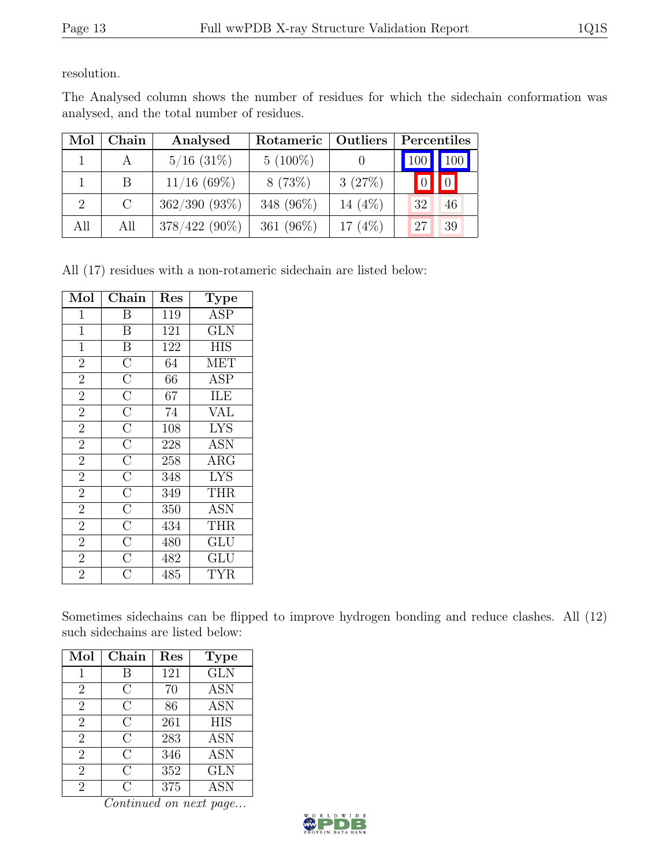resolution.

The Analysed column shows the number of residues for which the sidechain conformation was analysed, and the total number of residues.

| Mol                         | Chain   | Analysed        | Rotameric    | Outliers   | Percentiles |                     |
|-----------------------------|---------|-----------------|--------------|------------|-------------|---------------------|
|                             |         | $5/16$ (31\%)   | $5(100\%)$   |            | 100         | $\vert$ 100 $\vert$ |
|                             | В       | $11/16$ (69%)   | 8(73%)       | 3(27%)     |             |                     |
| $\mathcal{D}_{\mathcal{L}}$ | $\rm C$ | $362/390(93\%)$ | 348 (96%)    | 14 $(4%)$  | 32          | 46                  |
| All                         | All     | $378/422(90\%)$ | 361 $(96\%)$ | 17 $(4\%)$ | $\sqrt{27}$ | 39                  |

All (17) residues with a non-rotameric sidechain are listed below:

| Mol            | Chain                                                                                                                                                                                                                                             | Res | Type       |
|----------------|---------------------------------------------------------------------------------------------------------------------------------------------------------------------------------------------------------------------------------------------------|-----|------------|
| 1              | Β                                                                                                                                                                                                                                                 | 119 | <b>ASP</b> |
| $\mathbf{1}$   | $\overline{\mathrm{B}}$                                                                                                                                                                                                                           | 121 | <b>GLN</b> |
| $\mathbf{1}$   | $\overline{B}$                                                                                                                                                                                                                                    | 122 | <b>HIS</b> |
| $\overline{2}$ |                                                                                                                                                                                                                                                   | 64  | <b>MET</b> |
| $\overline{2}$ |                                                                                                                                                                                                                                                   | 66  | <b>ASP</b> |
| $\overline{2}$ |                                                                                                                                                                                                                                                   | 67  | ILE        |
| $\overline{2}$ |                                                                                                                                                                                                                                                   | 74  | <b>VAL</b> |
| $\overline{2}$ |                                                                                                                                                                                                                                                   | 108 | <b>LYS</b> |
| $\overline{2}$ |                                                                                                                                                                                                                                                   | 228 | <b>ASN</b> |
| $\overline{2}$ |                                                                                                                                                                                                                                                   | 258 | ARG        |
| $\overline{2}$ |                                                                                                                                                                                                                                                   | 348 | <b>LYS</b> |
| $\overline{2}$ |                                                                                                                                                                                                                                                   | 349 | THR        |
| $\overline{2}$ |                                                                                                                                                                                                                                                   | 350 | <b>ASN</b> |
| $\overline{2}$ | $\overline{\text{C}}$ $\overline{\text{C}}$ $\overline{\text{C}}$ $\overline{\text{C}}$ $\overline{\text{C}}$ $\overline{\text{C}}$ $\overline{\text{C}}$ $\overline{\text{C}}$ $\overline{\text{C}}$ $\overline{\text{C}}$ $\overline{\text{C}}$ | 434 | THR        |
| $\overline{2}$ |                                                                                                                                                                                                                                                   | 480 | GLU        |
| $\overline{2}$ | $\overline{C}$                                                                                                                                                                                                                                    | 482 | GLU        |
| $\overline{2}$ | $\overline{\rm C}$                                                                                                                                                                                                                                | 485 | <b>TYR</b> |

Sometimes sidechains can be flipped to improve hydrogen bonding and reduce clashes. All (12) such sidechains are listed below:

| Mol            | $Chain$        | $\operatorname{Res}% \left( \mathcal{N}\right) \equiv\operatorname*{Res}\left( \mathcal{N}\right)$ | <b>Type</b>      |
|----------------|----------------|----------------------------------------------------------------------------------------------------|------------------|
| 1              | В              | 121                                                                                                | <b>GLN</b>       |
| $\overline{2}$ | С              | 70                                                                                                 | $\overline{ASN}$ |
| $\overline{2}$ | C              | 86                                                                                                 | <b>ASN</b>       |
| $\overline{2}$ | $\overline{C}$ | 261                                                                                                | <b>HIS</b>       |
| $\overline{2}$ | С              | 283                                                                                                | <b>ASN</b>       |
| $\overline{2}$ | $\rm C$        | 346                                                                                                | <b>ASN</b>       |
| $\overline{2}$ | С              | 352                                                                                                | <b>GLN</b>       |
| $\overline{2}$ | C              | 375                                                                                                | <b>ASN</b>       |

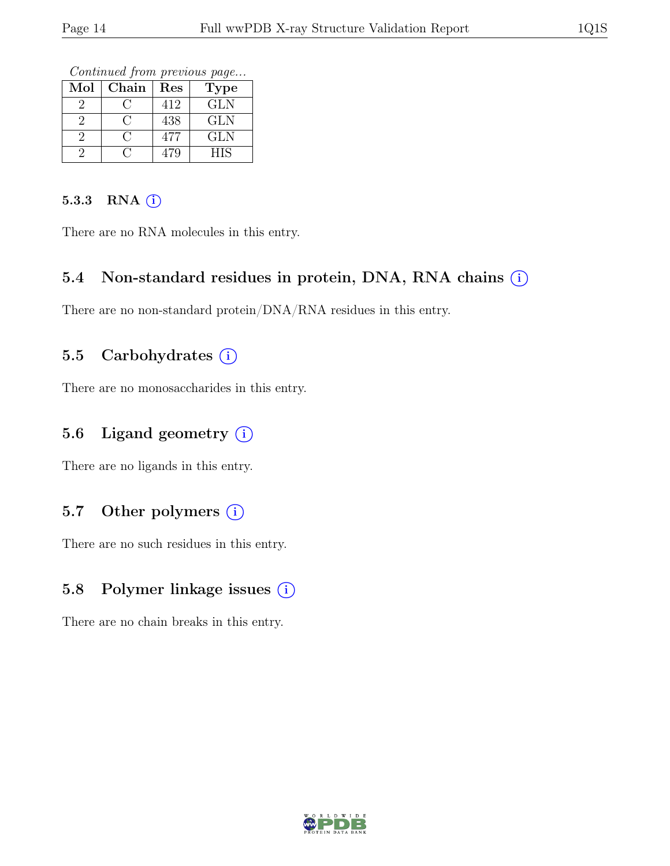Continued from previous page...

| Mol | Chain | Res | Type       |
|-----|-------|-----|------------|
|     |       | 412 | <b>GLN</b> |
|     |       | 438 | GLN        |
|     |       | 477 | GLN        |
|     |       | 479 | НIS        |

#### 5.3.3 RNA  $(i)$

There are no RNA molecules in this entry.

#### 5.4 Non-standard residues in protein, DNA, RNA chains  $\circ$

There are no non-standard protein/DNA/RNA residues in this entry.

#### 5.5 Carbohydrates  $(i)$

There are no monosaccharides in this entry.

#### 5.6 Ligand geometry  $(i)$

There are no ligands in this entry.

#### 5.7 Other polymers  $(i)$

There are no such residues in this entry.

#### 5.8 Polymer linkage issues (i)

There are no chain breaks in this entry.

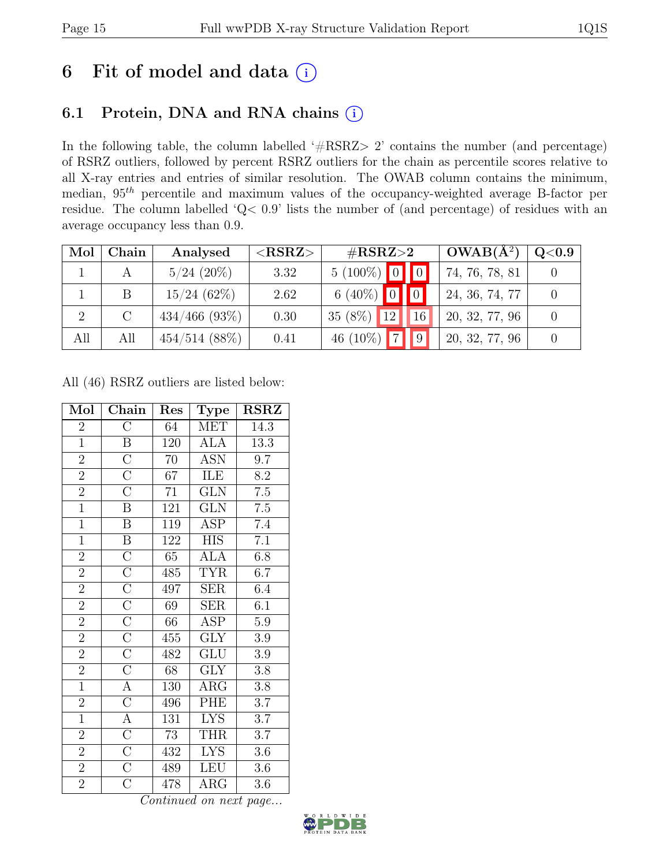## 6 Fit of model and data  $(i)$

## 6.1 Protein, DNA and RNA chains (i)

In the following table, the column labelled ' $\#\text{RSRZ}>2$ ' contains the number (and percentage) of RSRZ outliers, followed by percent RSRZ outliers for the chain as percentile scores relative to all X-ray entries and entries of similar resolution. The OWAB column contains the minimum, median,  $95<sup>th</sup>$  percentile and maximum values of the occupancy-weighted average B-factor per residue. The column labelled 'Q< 0.9' lists the number of (and percentage) of residues with an average occupancy less than 0.9.

| Mol | Chain         | Analysed        | ${ <\hspace{-1.5pt}{\mathrm{RSRZ}} \hspace{-1.5pt}>}$ | $\#\text{RSRZ}\text{>2}$            | $\overline{\textbf{O}}\textbf{WAB}(\text{A}^{2})$ | $\rm Q\textcolor{black}{<}0.9$ |
|-----|---------------|-----------------|-------------------------------------------------------|-------------------------------------|---------------------------------------------------|--------------------------------|
|     |               | $5/24$ (20%)    | 3.32                                                  | $5(100\%)$ 0 0                      | 74, 76, 78, 81                                    |                                |
|     | <sub>B</sub>  | 15/24(62%)      | 2.62                                                  | 6 (40%) $\boxed{0}$ 0               | 24, 36, 74, 77                                    |                                |
|     | $\mathcal{C}$ | $434/466$ (93%) | 0.30                                                  | $35(8\%)$<br>$\vert 12 \vert$<br>16 | 20, 32, 77, 96                                    |                                |
| All | All           | $454/514$ (88%) | 0.41                                                  | 46 $(10\%)$                         | 20, 32, 77, 96                                    |                                |

All (46) RSRZ outliers are listed below:

| Mol            | Chain                   | Res             | Type                    | <b>RSRZ</b>      |
|----------------|-------------------------|-----------------|-------------------------|------------------|
| $\overline{2}$ | $\overline{\rm C}$      | 64              | MET                     | 14.3             |
| $\overline{1}$ | $\overline{B}$          | 120             | <b>ALA</b>              | 13.3             |
| $\overline{2}$ | $\overline{C}$          | 70              | <b>ASN</b>              | 9.7              |
| $\overline{2}$ | $\overline{C}$          | $\overline{67}$ | <b>ILE</b>              | $\overline{8.2}$ |
| $\overline{2}$ | $\overline{\rm C}$      | 71              | $\overline{\text{GLN}}$ | $7.5\,$          |
| $\overline{1}$ | $\overline{\mathrm{B}}$ | 121             | $\overline{\text{GLN}}$ | $\overline{7.5}$ |
| $\overline{1}$ | $\overline{B}$          | 119             | ASP                     | 7.4              |
| $\overline{1}$ | $\, {\bf B}$            | 122             | HIS                     | $\overline{7.1}$ |
| $\overline{2}$ | $\overline{C}$          | $\overline{65}$ | $AL\overline{A}$        | 6.8              |
| $\overline{2}$ | $\overline{C}$          | 485             | <b>TYR</b>              | 6.7              |
| $\overline{2}$ | $\overline{C}$          | 497             | SER                     | 6.4              |
| $\overline{2}$ | $\overline{C}$          | 69              | SER                     | 6.1              |
| $\overline{2}$ | $\overline{C}$          | 66              | <b>ASP</b>              | $\overline{5.9}$ |
| $\overline{2}$ | $\overline{\rm C}$      | 455             | <b>GLY</b>              | 3.9              |
| $\overline{2}$ | $\overline{C}$          | 482             | <b>GLU</b>              | $3.9\,$          |
| $\overline{2}$ | $\overline{C}$          | 68              | $\overline{\text{GLY}}$ | $3.8\,$          |
| $\overline{1}$ | $\overline{A}$          | 130             | $\rm{ARG}$              | $3.8\,$          |
| $\overline{2}$ | $\overline{\rm C}$      | 496             | PHE                     | $\overline{3.7}$ |
| $\overline{1}$ | $\overline{A}$          | 131             | <b>LYS</b>              | 3.7              |
| $\overline{2}$ | $\overline{C}$          | 73              | THR                     | $\overline{3.7}$ |
| $\overline{2}$ | $\overline{C}$          | 432             | <b>LYS</b>              | $3.6\,$          |
| $\overline{2}$ | $\overline{C}$          | 489             | <b>LEU</b>              | $3.6\,$          |
| $\overline{2}$ | $\overline{\rm C}$      | 478             | $\rm{ARG}$              | 3.6              |